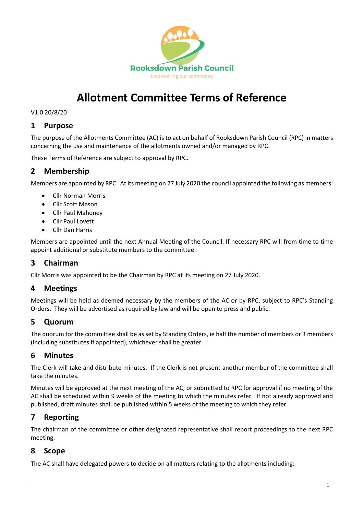

# **Allotment Committee Terms of Reference**

V1.0 20/8/20

#### **1 Purpose**

The purpose of the Allotments Committee (AC) is to act on behalf of Rooksdown Parish Council (RPC) in matters concerning the use and maintenance of the allotments owned and/or managed by RPC.

These Terms of Reference are subject to approval by RPC.

## **2 Membership**

Members are appointed by RPC. At its meeting on 27 July 2020 the council appointed the following as members:

- Cllr Norman Morris
- Cllr Scott Mason
- Cllr Paul Mahoney
- Cllr Paul Lovett
- Cllr Dan Harris

Members are appointed until the next Annual Meeting of the Council. If necessary RPC will from time to time appoint additional or substitute members to the committee.

## **3 Chairman**

Cllr Morris was appointed to be the Chairman by RPC at its meeting on 27 July 2020.

### **4 Meetings**

Meetings will be held as deemed necessary by the members of the AC or by RPC, subject to RPC's Standing Orders. They will be advertised as required by law and will be open to press and public.

### **5 Quorum**

The quorum for the committee shall be as set by Standing Orders, ie half the number of members or 3 members (including substitutes if appointed), whichever shall be greater.

### **6 Minutes**

The Clerk will take and distribute minutes. If the Clerk is not present another member of the committee shall take the minutes.

Minutes will be approved at the next meeting of the AC, or submitted to RPC for approval if no meeting of the AC shall be scheduled within 9 weeks of the meeting to which the minutes refer. If not already approved and published, draft minutes shall be published within 5 weeks of the meeting to which they refer.

### **7 Reporting**

The chairman of the committee or other designated representative shall report proceedings to the next RPC meeting.

### **8 Scope**

The AC shall have delegated powers to decide on all matters relating to the allotments including: